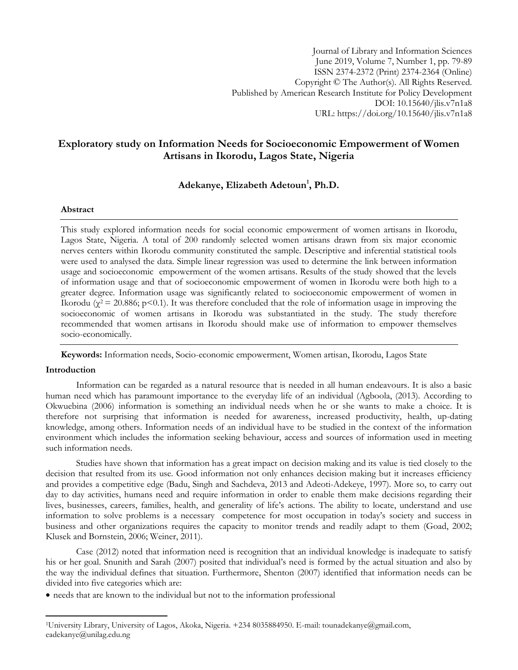Journal of Library and Information Sciences June 2019, Volume 7, Number 1, pp. 79-89 ISSN 2374-2372 (Print) 2374-2364 (Online) Copyright © The Author(s). All Rights Reserved. Published by American Research Institute for Policy Development DOI: 10.15640/jlis.v7n1a8 URL: https://doi.org/10.15640/jlis.v7n1a8

# **Exploratory study on Information Needs for Socioeconomic Empowerment of Women Artisans in Ikorodu, Lagos State, Nigeria**

# **Adekanye, Elizabeth Adetoun<sup>1</sup> , Ph.D.**

### **Abstract**

This study explored information needs for social economic empowerment of women artisans in Ikorodu, Lagos State, Nigeria. A total of 200 randomly selected women artisans drawn from six major economic nerves centers within Ikorodu community constituted the sample. Descriptive and inferential statistical tools were used to analysed the data. Simple linear regression was used to determine the link between information usage and socioeconomic empowerment of the women artisans. Results of the study showed that the levels of information usage and that of socioeconomic empowerment of women in Ikorodu were both high to a greater degree. Information usage was significantly related to socioeconomic empowerment of women in Ikorodu ( $\chi^2$  = 20.886; p<0.1). It was therefore concluded that the role of information usage in improving the socioeconomic of women artisans in Ikorodu was substantiated in the study. The study therefore recommended that women artisans in Ikorodu should make use of information to empower themselves socio-economically.

**Keywords:** Information needs, Socio-economic empowerment, Women artisan, Ikorodu, Lagos State

### **Introduction**

 $\overline{\phantom{a}}$ 

Information can be regarded as a natural resource that is needed in all human endeavours. It is also a basic human need which has paramount importance to the everyday life of an individual (Agboola, (2013). According to Okwuebina (2006) information is something an individual needs when he or she wants to make a choice. It is therefore not surprising that information is needed for awareness, increased productivity, health, up-dating knowledge, among others. Information needs of an individual have to be studied in the context of the information environment which includes the information seeking behaviour, access and sources of information used in meeting such information needs.

Studies have shown that information has a great impact on decision making and its value is tied closely to the decision that resulted from its use. Good information not only enhances decision making but it increases efficiency and provides a competitive edge (Badu, Singh and Sachdeva, 2013 and Adeoti-Adekeye, 1997). More so, to carry out day to day activities, humans need and require information in order to enable them make decisions regarding their lives, businesses, careers, families, health, and generality of life's actions. The ability to locate, understand and use information to solve problems is a necessary competence for most occupation in today's society and success in business and other organizations requires the capacity to monitor trends and readily adapt to them (Goad, 2002; Klusek and Bornstein, 2006; Weiner, 2011).

Case (2012) noted that information need is recognition that an individual knowledge is inadequate to satisfy his or her goal. Snunith and Sarah (2007) posited that individual's need is formed by the actual situation and also by the way the individual defines that situation. Furthermore, Shenton (2007) identified that information needs can be divided into five categories which are:

needs that are known to the individual but not to the information professional

<sup>1</sup>University Library, University of Lagos, Akoka, Nigeria. +234 8035884950. E-mail: tounadekanye@gmail.com, eadekanye@unilag.edu.ng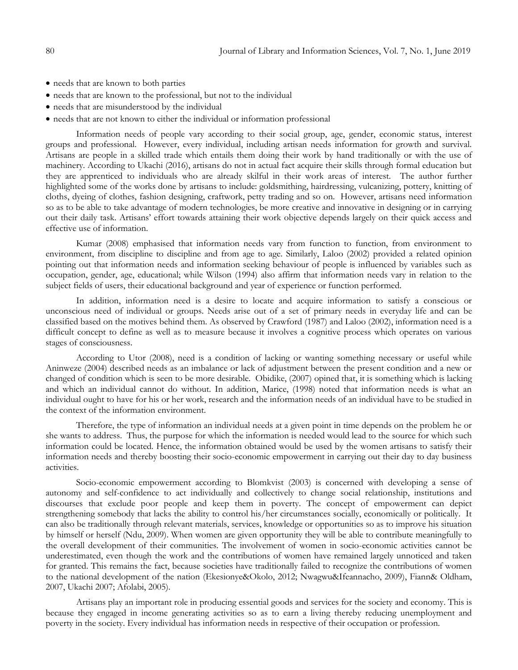- needs that are known to both parties
- needs that are known to the professional, but not to the individual
- needs that are misunderstood by the individual
- needs that are not known to either the individual or information professional

Information needs of people vary according to their social group, age, gender, economic status, interest groups and professional. However, every individual, including artisan needs information for growth and survival. Artisans are people in a skilled trade which entails them doing their work by hand traditionally or with the use of machinery. According to Ukachi (2016), artisans do not in actual fact acquire their skills through formal education but they are apprenticed to individuals who are already skilful in their work areas of interest. The author further highlighted some of the works done by artisans to include: goldsmithing, hairdressing, vulcanizing, pottery, knitting of cloths, dyeing of clothes, fashion designing, craftwork, petty trading and so on. However, artisans need information so as to be able to take advantage of modern technologies, be more creative and innovative in designing or in carrying out their daily task. Artisans' effort towards attaining their work objective depends largely on their quick access and effective use of information.

Kumar (2008) emphasised that information needs vary from function to function, from environment to environment, from discipline to discipline and from age to age. Similarly, Laloo (2002) provided a related opinion pointing out that information needs and information seeking behaviour of people is influenced by variables such as occupation, gender, age, educational; while Wilson (1994) also affirm that information needs vary in relation to the subject fields of users, their educational background and year of experience or function performed.

In addition, information need is a desire to locate and acquire information to satisfy a conscious or unconscious need of individual or groups. Needs arise out of a set of primary needs in everyday life and can be classified based on the motives behind them. As observed by Crawford (1987) and Laloo (2002), information need is a difficult concept to define as well as to measure because it involves a cognitive process which operates on various stages of consciousness.

According to Utor (2008), need is a condition of lacking or wanting something necessary or useful while Aninweze (2004) described needs as an imbalance or lack of adjustment between the present condition and a new or changed of condition which is seen to be more desirable. Obidike, (2007) opined that, it is something which is lacking and which an individual cannot do without. In addition, Marice, (1998) noted that information needs is what an individual ought to have for his or her work, research and the information needs of an individual have to be studied in the context of the information environment.

Therefore, the type of information an individual needs at a given point in time depends on the problem he or she wants to address. Thus, the purpose for which the information is needed would lead to the source for which such information could be located. Hence, the information obtained would be used by the women artisans to satisfy their information needs and thereby boosting their socio-economic empowerment in carrying out their day to day business activities.

Socio-economic empowerment according to Blomkvist (2003) is concerned with developing a sense of autonomy and self-confidence to act individually and collectively to change social relationship, institutions and discourses that exclude poor people and keep them in poverty. The concept of empowerment can depict strengthening somebody that lacks the ability to control his/her circumstances socially, economically or politically. It can also be traditionally through relevant materials, services, knowledge or opportunities so as to improve his situation by himself or herself (Ndu, 2009). When women are given opportunity they will be able to contribute meaningfully to the overall development of their communities. The involvement of women in socio-economic activities cannot be underestimated, even though the work and the contributions of women have remained largely unnoticed and taken for granted. This remains the fact, because societies have traditionally failed to recognize the contributions of women to the national development of the nation (Ekesionye&Okolo, 2012; Nwagwu&Ifeannacho, 2009), Fiann& Oldham, 2007, Ukachi 2007; Afolabi, 2005).

Artisans play an important role in producing essential goods and services for the society and economy. This is because they engaged in income generating activities so as to earn a living thereby reducing unemployment and poverty in the society. Every individual has information needs in respective of their occupation or profession.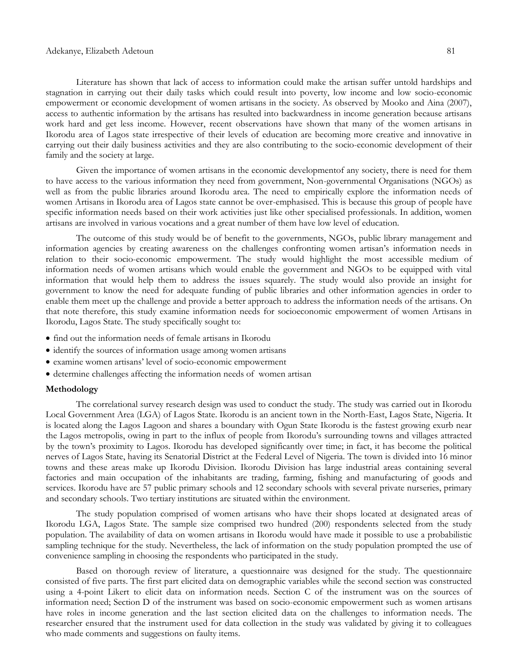#### Adekanye, Elizabeth Adetoun 81

Literature has shown that lack of access to information could make the artisan suffer untold hardships and stagnation in carrying out their daily tasks which could result into poverty, low income and low socio-economic empowerment or economic development of women artisans in the society. As observed by Mooko and Aina (2007), access to authentic information by the artisans has resulted into backwardness in income generation because artisans work hard and get less income. However, recent observations have shown that many of the women artisans in Ikorodu area of Lagos state irrespective of their levels of education are becoming more creative and innovative in carrying out their daily business activities and they are also contributing to the socio-economic development of their family and the society at large.

Given the importance of women artisans in the economic developmentof any society, there is need for them to have access to the various information they need from government, Non-governmental Organisations (NGOs) as well as from the public libraries around Ikorodu area. The need to empirically explore the information needs of women Artisans in Ikorodu area of Lagos state cannot be over-emphasised. This is because this group of people have specific information needs based on their work activities just like other specialised professionals. In addition, women artisans are involved in various vocations and a great number of them have low level of education.

The outcome of this study would be of benefit to the governments, NGOs, public library management and information agencies by creating awareness on the challenges confronting women artisan's information needs in relation to their socio-economic empowerment. The study would highlight the most accessible medium of information needs of women artisans which would enable the government and NGOs to be equipped with vital information that would help them to address the issues squarely. The study would also provide an insight for government to know the need for adequate funding of public libraries and other information agencies in order to enable them meet up the challenge and provide a better approach to address the information needs of the artisans. On that note therefore, this study examine information needs for socioeconomic empowerment of women Artisans in Ikorodu, Lagos State. The study specifically sought to:

- find out the information needs of female artisans in Ikorodu
- identify the sources of information usage among women artisans
- examine women artisans' level of socio-economic empowerment
- determine challenges affecting the information needs of women artisan

### **Methodology**

The correlational survey research design was used to conduct the study. The study was carried out in Ikorodu Local Government Area (LGA) of Lagos State. Ikorodu is an ancient town in the North-East, Lagos State, Nigeria. It is located along the Lagos Lagoon and shares a boundary with Ogun State Ikorodu is the fastest growing exurb near the Lagos metropolis, owing in part to the influx of people from Ikorodu's surrounding towns and villages attracted by the town's proximity to Lagos. Ikorodu has developed significantly over time; in fact, it has become the political nerves of Lagos State, having its Senatorial District at the Federal Level of Nigeria. The town is divided into 16 minor towns and these areas make up Ikorodu Division. Ikorodu Division has large industrial areas containing several factories and main occupation of the inhabitants are trading, farming, fishing and manufacturing of goods and services. Ikorodu have are 57 public primary schools and 12 secondary schools with several private nurseries, primary and secondary schools. Two tertiary institutions are situated within the environment.

The study population comprised of women artisans who have their shops located at designated areas of Ikorodu LGA, Lagos State. The sample size comprised two hundred (200) respondents selected from the study population. The availability of data on women artisans in Ikorodu would have made it possible to use a probabilistic sampling technique for the study. Nevertheless, the lack of information on the study population prompted the use of convenience sampling in choosing the respondents who participated in the study.

Based on thorough review of literature, a questionnaire was designed for the study. The questionnaire consisted of five parts. The first part elicited data on demographic variables while the second section was constructed using a 4-point Likert to elicit data on information needs. Section C of the instrument was on the sources of information need; Section D of the instrument was based on socio-economic empowerment such as women artisans have roles in income generation and the last section elicited data on the challenges to information needs. The researcher ensured that the instrument used for data collection in the study was validated by giving it to colleagues who made comments and suggestions on faulty items.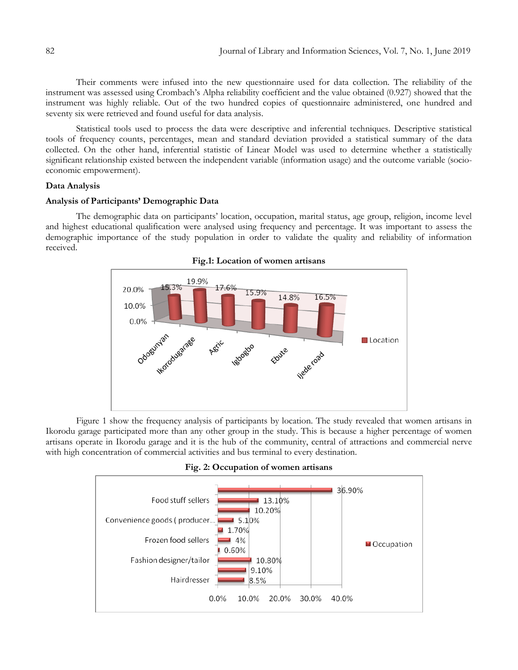Their comments were infused into the new questionnaire used for data collection. The reliability of the instrument was assessed using Crombach's Alpha reliability coefficient and the value obtained (0.927) showed that the instrument was highly reliable. Out of the two hundred copies of questionnaire administered, one hundred and seventy six were retrieved and found useful for data analysis.

Statistical tools used to process the data were descriptive and inferential techniques. Descriptive statistical tools of frequency counts, percentages, mean and standard deviation provided a statistical summary of the data collected. On the other hand, inferential statistic of Linear Model was used to determine whether a statistically significant relationship existed between the independent variable (information usage) and the outcome variable (socioeconomic empowerment).

# **Data Analysis**

## **Analysis of Participants' Demographic Data**

The demographic data on participants' location, occupation, marital status, age group, religion, income level and highest educational qualification were analysed using frequency and percentage. It was important to assess the demographic importance of the study population in order to validate the quality and reliability of information received.



Figure 1 show the frequency analysis of participants by location. The study revealed that women artisans in Ikorodu garage participated more than any other group in the study. This is because a higher percentage of women artisans operate in Ikorodu garage and it is the hub of the community, central of attractions and commercial nerve with high concentration of commercial activities and bus terminal to every destination.



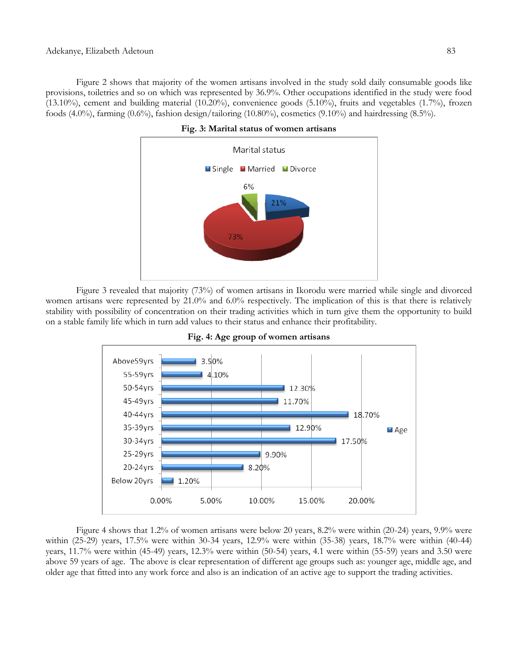Figure 2 shows that majority of the women artisans involved in the study sold daily consumable goods like provisions, toiletries and so on which was represented by 36.9%. Other occupations identified in the study were food (13.10%), cement and building material (10.20%), convenience goods (5.10%), fruits and vegetables (1.7%), frozen foods (4.0%), farming (0.6%), fashion design/tailoring (10.80%), cosmetics (9.10%) and hairdressing (8.5%).



**Fig. 3: Marital status of women artisans**

Figure 3 revealed that majority (73%) of women artisans in Ikorodu were married while single and divorced women artisans were represented by 21.0% and 6.0% respectively. The implication of this is that there is relatively stability with possibility of concentration on their trading activities which in turn give them the opportunity to build on a stable family life which in turn add values to their status and enhance their profitability.



**Fig. 4: Age group of women artisans**

Figure 4 shows that 1.2% of women artisans were below 20 years, 8.2% were within (20-24) years, 9.9% were within (25-29) years, 17.5% were within 30-34 years, 12.9% were within (35-38) years, 18.7% were within (40-44) years, 11.7% were within (45-49) years, 12.3% were within (50-54) years, 4.1 were within (55-59) years and 3.50 were above 59 years of age. The above is clear representation of different age groups such as: younger age, middle age, and older age that fitted into any work force and also is an indication of an active age to support the trading activities.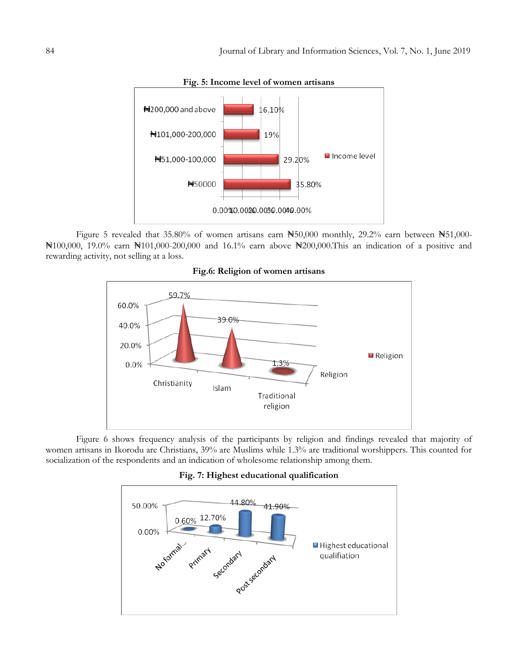

Figure 5 revealed that  $35.80\%$  of women artisans earn  $\mathbb{N}50,000$  monthly,  $29.2\%$  earn between  $\mathbb{N}51,000$ -₦100,000, 19.0% earn ₦101,000-200,000 and 16.1% earn above ₦200,000.This an indication of a positive and rewarding activity, not selling at a loss.



**Fig.6: Religion of women artisans**

Figure 6 shows frequency analysis of the participants by religion and findings revealed that majority of women artisans in Ikorodu are Christians, 39% are Muslims while 1.3% are traditional worshippers. This counted for socialization of the respondents and an indication of wholesome relationship among them.



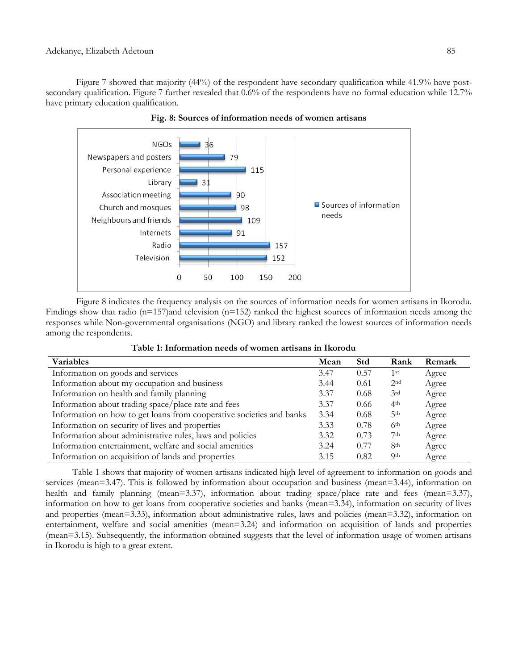Figure 7 showed that majority (44%) of the respondent have secondary qualification while 41.9% have postsecondary qualification. Figure 7 further revealed that 0.6% of the respondents have no formal education while 12.7% have primary education qualification.

**Fig. 8: Sources of information needs of women artisans**



Figure 8 indicates the frequency analysis on the sources of information needs for women artisans in Ikorodu. Findings show that radio (n=157)and television (n=152) ranked the highest sources of information needs among the responses while Non-governmental organisations (NGO) and library ranked the lowest sources of information needs among the respondents.

| <b>Variables</b>                                                     | Mean | Std  | Rank            | Remark |
|----------------------------------------------------------------------|------|------|-----------------|--------|
| Information on goods and services                                    | 3.47 | 0.57 | 1 <sup>st</sup> | Agree  |
| Information about my occupation and business                         | 3.44 | 0.61 | 2 <sub>nd</sub> | Agree  |
| Information on health and family planning                            | 3.37 | 0.68 | 3 <sup>rd</sup> | Agree  |
| Information about trading space/place rate and fees                  | 3.37 | 0.66 | 4 <sup>th</sup> | Agree  |
| Information on how to get loans from cooperative societies and banks | 3.34 | 0.68 | 5 <sup>th</sup> | Agree  |
| Information on security of lives and properties                      | 3.33 | 0.78 | 6 <sup>th</sup> | Agree  |
| Information about administrative rules, laws and policies            | 3.32 | 0.73 | 7th             | Agree  |
| Information entertainment, welfare and social amenities              | 3.24 | 0.77 | 8 <sup>th</sup> | Agree  |
| Information on acquisition of lands and properties                   | 3.15 | 0.82 | 9th             | Agree  |

**Table 1: Information needs of women artisans in Ikorodu**

Table 1 shows that majority of women artisans indicated high level of agreement to information on goods and services (mean=3.47). This is followed by information about occupation and business (mean=3.44), information on health and family planning (mean=3.37), information about trading space/place rate and fees (mean=3.37), information on how to get loans from cooperative societies and banks (mean=3.34), information on security of lives and properties (mean=3.33), information about administrative rules, laws and policies (mean=3.32), information on entertainment, welfare and social amenities (mean=3.24) and information on acquisition of lands and properties (mean=3.15). Subsequently, the information obtained suggests that the level of information usage of women artisans in Ikorodu is high to a great extent.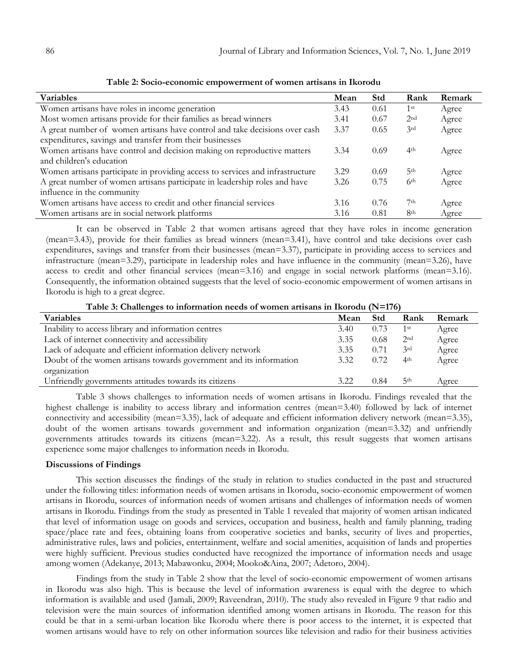| <b>Variables</b>                                                              | Mean | Std  | Rank            | Remark |
|-------------------------------------------------------------------------------|------|------|-----------------|--------|
| Women artisans have roles in income generation                                | 3.43 | 0.61 | 1 <sup>st</sup> | Agree  |
| Most women artisans provide for their families as bread winners               | 3.41 | 0.67 | 2 <sup>nd</sup> | Agree  |
| A great number of women artisans have control and take decisions over cash    | 3.37 | 0.65 | 3rd             | Agree  |
| expenditures, savings and transfer from their businesses                      |      |      |                 |        |
| Women artisans have control and decision making on reproductive matters       | 3.34 | 0.69 | 4th             | Agree  |
| and children's education                                                      |      |      |                 |        |
| Women artisans participate in providing access to services and infrastructure | 3.29 | 0.69 | 5 <sup>th</sup> | Agree  |
| A great number of women artisans participate in leadership roles and have     | 3.26 | 0.75 | 6 <sup>th</sup> | Agree  |
| influence in the community                                                    |      |      |                 |        |
| Women artisans have access to credit and other financial services             | 3.16 | 0.76 | 7 <sup>th</sup> | Agree  |
| Women artisans are in social network platforms                                | 3.16 | 0.81 | 8th             | Agree  |

**Table 2: Socio-economic empowerment of women artisans in Ikorodu**

It can be observed in Table 2 that women artisans agreed that they have roles in income generation (mean=3.43), provide for their families as bread winners (mean=3.41), have control and take decisions over cash expenditures, savings and transfer from their businesses (mean=3.37), participate in providing access to services and infrastructure (mean=3.29), participate in leadership roles and have influence in the community (mean=3.26), have access to credit and other financial services (mean=3.16) and engage in social network platforms (mean=3.16). Consequently, the information obtained suggests that the level of socio-economic empowerment of women artisans in Ikorodu is high to a great degree.

**Table 3: Challenges to information needs of women artisans in Ikorodu (N=176)**

| Variables                                                          | <b>Mean</b> | Std  | Rank            | Remark |
|--------------------------------------------------------------------|-------------|------|-----------------|--------|
| Inability to access library and information centres                | 3.40        | 0.73 | 1 <sup>st</sup> | Agree  |
| Lack of internet connectivity and accessibility                    | 3.35        | 0.68 | 2 <sup>nd</sup> | Agree  |
| Lack of adequate and efficient information delivery network        | 3.35        | 0.71 | 3rd             | Agree  |
| Doubt of the women artisans towards government and its information | 3.32        | 0.72 | 4 <sup>th</sup> | Agree  |
| organization                                                       |             |      |                 |        |
| Unfriendly governments attitudes towards its citizens              | 3.22        | 0.84 | 5 <sup>th</sup> | Agree  |

Table 3 shows challenges to information needs of women artisans in Ikorodu. Findings revealed that the highest challenge is inability to access library and information centres (mean=3.40) followed by lack of internet connectivity and accessibility (mean=3.35), lack of adequate and efficient information delivery network (mean=3.35), doubt of the women artisans towards government and information organization (mean=3.32) and unfriendly governments attitudes towards its citizens (mean=3.22). As a result, this result suggests that women artisans experience some major challenges to information needs in Ikorodu.

## **Discussions of Findings**

This section discusses the findings of the study in relation to studies conducted in the past and structured under the following titles: information needs of women artisans in Ikorodu, socio-economic empowerment of women artisans in Ikorodu, sources of information needs of women artisans and challenges of information needs of women artisans in Ikorodu. Findings from the study as presented in Table 1 revealed that majority of women artisan indicated that level of information usage on goods and services, occupation and business, health and family planning, trading space/place rate and fees, obtaining loans from cooperative societies and banks, security of lives and properties, administrative rules, laws and policies, entertainment, welfare and social amenities, acquisition of lands and properties were highly sufficient. Previous studies conducted have recognized the importance of information needs and usage among women (Adekanye, 2013; Mabawonku, 2004; Mooko&Aina, 2007; Adetoro, 2004).

Findings from the study in Table 2 show that the level of socio-economic empowerment of women artisans in Ikorodu was also high. This is because the level of information awareness is equal with the degree to which information is available and used (Jamali, 2009; Raveendran, 2010). The study also revealed in Figure 9 that radio and television were the main sources of information identified among women artisans in Ikorodu. The reason for this could be that in a semi-urban location like Ikorodu where there is poor access to the internet, it is expected that women artisans would have to rely on other information sources like television and radio for their business activities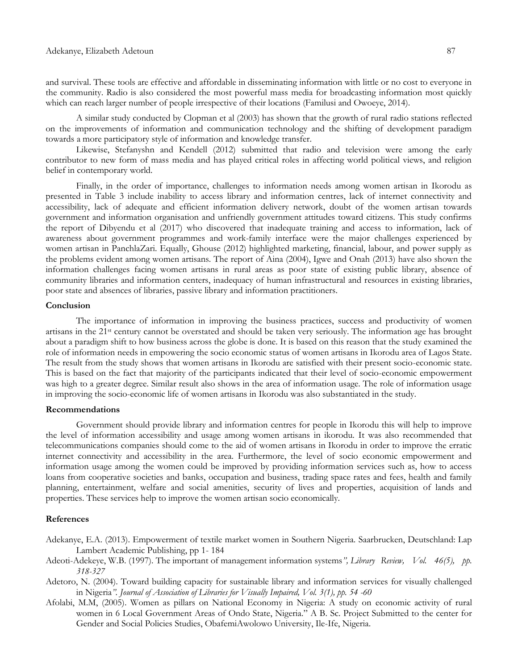and survival. These tools are effective and affordable in disseminating information with little or no cost to everyone in the community. Radio is also considered the most powerful mass media for broadcasting information most quickly which can reach larger number of people irrespective of their locations (Familusi and Owoeye, 2014).

A similar study conducted by Clopman et al (2003) has shown that the growth of rural radio stations reflected on the improvements of information and communication technology and the shifting of development paradigm towards a more participatory style of information and knowledge transfer.

Likewise, Stefanyshn and Kendell (2012) submitted that radio and television were among the early contributor to new form of mass media and has played critical roles in affecting world political views, and religion belief in contemporary world.

Finally, in the order of importance, challenges to information needs among women artisan in Ikorodu as presented in Table 3 include inability to access library and information centres, lack of internet connectivity and accessibility, lack of adequate and efficient information delivery network, doubt of the women artisan towards government and information organisation and unfriendly government attitudes toward citizens. This study confirms the report of Dibyendu et al (2017) who discovered that inadequate training and access to information, lack of awareness about government programmes and work-family interface were the major challenges experienced by women artisan in PanchlaZari. Equally, Ghouse (2012) highlighted marketing, financial, labour, and power supply as the problems evident among women artisans. The report of Aina (2004), Igwe and Onah (2013) have also shown the information challenges facing women artisans in rural areas as poor state of existing public library, absence of community libraries and information centers, inadequacy of human infrastructural and resources in existing libraries, poor state and absences of libraries, passive library and information practitioners.

#### **Conclusion**

The importance of information in improving the business practices, success and productivity of women artisans in the 21st century cannot be overstated and should be taken very seriously. The information age has brought about a paradigm shift to how business across the globe is done. It is based on this reason that the study examined the role of information needs in empowering the socio economic status of women artisans in Ikorodu area of Lagos State. The result from the study shows that women artisans in Ikorodu are satisfied with their present socio-economic state. This is based on the fact that majority of the participants indicated that their level of socio-economic empowerment was high to a greater degree. Similar result also shows in the area of information usage. The role of information usage in improving the socio-economic life of women artisans in Ikorodu was also substantiated in the study.

#### **Recommendations**

Government should provide library and information centres for people in Ikorodu this will help to improve the level of information accessibility and usage among women artisans in ikorodu. It was also recommended that telecommunications companies should come to the aid of women artisans in Ikorodu in order to improve the erratic internet connectivity and accessibility in the area. Furthermore, the level of socio economic empowerment and information usage among the women could be improved by providing information services such as, how to access loans from cooperative societies and banks, occupation and business, trading space rates and fees, health and family planning, entertainment, welfare and social amenities, security of lives and properties, acquisition of lands and properties. These services help to improve the women artisan socio economically.

### **References**

- Adekanye, E.A. (2013). Empowerment of textile market women in Southern Nigeria. Saarbrucken, Deutschland: Lap Lambert Academic Publishing, pp 1- 184
- Adeoti-Adekeye, W.B. (1997). The important of management information systems*", Library Review, Vol. 46(5), pp. 318-327*
- Adetoro, N. (2004). Toward building capacity for sustainable library and information services for visually challenged in Nigeria*". Journal of Association of Libraries for Visually Impaired, Vol. 3(1), pp. 54 -60*
- Afolabi, M.M, (2005). Women as pillars on National Economy in Nigeria: A study on economic activity of rural women in 6 Local Government Areas of Ondo State, Nigeria." A B. Sc. Project Submitted to the center for Gender and Social Policies Studies, ObafemiAwolowo University, Ile-Ife, Nigeria.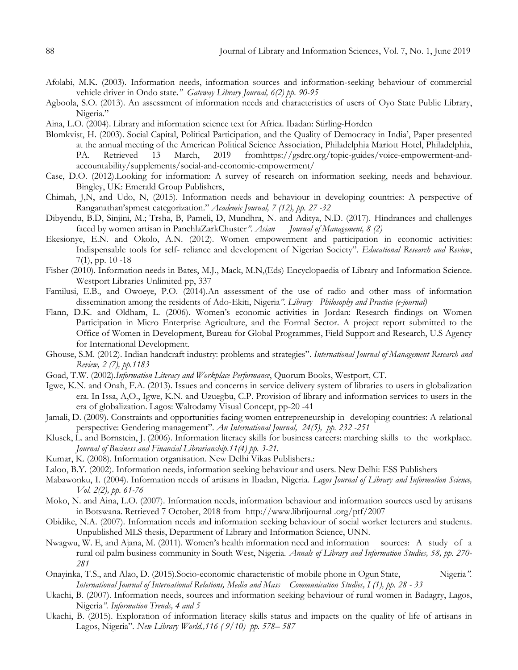- Afolabi, M.K. (2003). Information needs, information sources and information-seeking behaviour of commercial vehicle driver in Ondo state*." Gateway Library Journal, 6(2) pp. 90-95*
- Agboola, S.O. (2013). An assessment of information needs and characteristics of users of Oyo State Public Library, Nigeria."
- Aina, L.O. (2004). Library and information science text for Africa. Ibadan: Stirling-Horden
- Blomkvist, H. (2003). Social Capital, Political Participation, and the Quality of Democracy in India', Paper presented at the annual meeting of the American Political Science Association, Philadelphia Mariott Hotel, Philadelphia, PA. Retrieved 13 March, 2019 fro[mhttps://gsdrc.org/topic-guides/voice-empowerment-and](https://gsdrc.org/topic-guides/voice-empowerment-and-)accountability/supplements/social-and-economic-empowerment/
- Case, D.O. (2012).Looking for information: A survey of research on information seeking, needs and behaviour. Bingley, UK: Emerald Group Publishers,
- Chimah, J,N, and Udo, N, (2015). Information needs and behaviour in developing countries: A perspective of Ranganathan'spmest categorization." *Academic Journal, 7 (12), pp. 27 -32*
- Dibyendu, B.D, Sinjini, M.; Trsha, B, Pameli, D, Mundhra, N. and Aditya, N.D. (2017). Hindrances and challenges faced by women artisan in PanchlaZarkChuster*". Asian Journal of Management, 8 (2)*
- Ekesionye, E.N. and Okolo, A.N. (2012). Women empowerment and participation in economic activities: Indispensable tools for self- reliance and development of Nigerian Society". *Educational Research and Review*, 7(1), pp. 10 -18
- Fisher (2010). Information needs in Bates, M.J., Mack, M.N,(Eds) Encyclopaedia of Library and Information Science. Westport Libraries Unlimited pp, 337
- Familusi, E.B., and Owoeye, P.O. (2014).An assessment of the use of radio and other mass of information dissemination among the residents of Ado-Ekiti, Nigeria*". Library Philosophy and Practice (e-journal)*
- Flann, D.K. and Oldham, L. (2006). Women's economic activities in Jordan: Research findings on Women Participation in Micro Enterprise Agriculture, and the Formal Sector. A project report submitted to the Office of Women in Development, Bureau for Global Programmes, Field Support and Research, U.S Agency for International Development.
- Ghouse, S.M. (2012). Indian handcraft industry: problems and strategies". *International Journal of Management Research and Review, 2 (7), pp.1183*
- Goad, T.W. (2002).*Information Literacy and Workplace Performance*, Quorum Books, Westport, CT.
- Igwe, K.N. and Onah, F.A. (2013). Issues and concerns in service delivery system of libraries to users in globalization era. In Issa, A,O., Igwe, K.N. and Uzuegbu, C.P. Provision of library and information services to users in the era of globalization. Lagos: Waltodamy Visual Concept, pp-20 -41
- Jamali, D. (2009). Constraints and opportunities facing women entrepreneurship in developing countries: A relational perspective: Gendering management". *An International Journal, 24(5), pp. 232 -251*
- Klusek, L. and Bornstein, J. (2006). Information literacy skills for business careers: marching skills to the workplace. *Journal of Business and Financial Librarianship*.*11(4) pp. 3-21.*
- Kumar, K. (2008). Information organisation. New Delhi Vikas Publishers.:
- Laloo, B.Y. (2002). Information needs, information seeking behaviour and users. New Delhi: ESS Publishers
- Mabawonku, I. (2004). Information needs of artisans in Ibadan, Nigeria. *Lagos Journal of Library and Information Science, Vol. 2(2), pp. 61-76*
- Moko, N. and Aina, L.O. (2007). Information needs, information behaviour and information sources used by artisans in Botswana. Retrieved 7 October, 2018 from http://www.librijournal .org/ptf/2007
- Obidike, N.A. (2007). Information needs and information seeking behaviour of social worker lecturers and students. Unpublished MLS thesis, Department of Library and Information Science, UNN.
- Nwagwu, W. E, and Ajana, M. (2011). Women's health information need and information sources: A study of a rural oil palm business community in South West, Nigeria*. Annals of Library and Information Studies, 58, pp. 270- 281*
- Onayinka, T.S., and Alao, D. (2015).Socio-economic characteristic of mobile phone in Ogun State, Nigeria*". International Journal of International Relations, Media and Mass Communication Studies, I (1), pp. 28 - 33*
- Ukachi, B. (2007). Information needs, sources and information seeking behaviour of rural women in Badagry, Lagos, Nigeria*". Information Trends, 4 and 5*
- Ukachi, B. (2015). Exploration of information literacy skills status and impacts on the quality of life of artisans in Lagos, Nigeria"*. New Library World.,116 ( 9/10) pp. 578– 587*